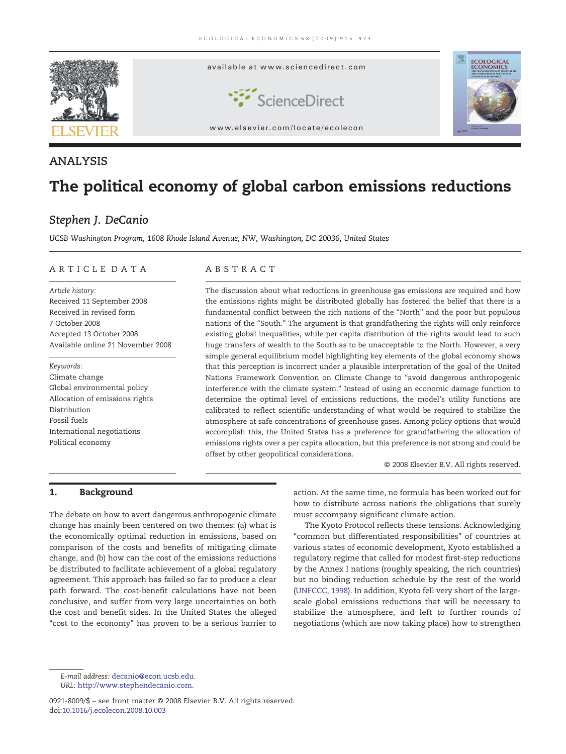

## ANALYSIS

# The political economy of global carbon emissions reductions

## Stephen J. DeCanio

UCSB Washington Program, 1608 Rhode Island Avenue, NW, Washington, DC 20036, United States

#### ARTICLE DATA ABSTRACT

Article history: Received 11 September 2008 Received in revised form 7 October 2008 Accepted 13 October 2008 Available online 21 November 2008

Keywords: Climate change Global environmental policy Allocation of emissions rights Distribution Fossil fuels International negotiations Political economy

The discussion about what reductions in greenhouse gas emissions are required and how the emissions rights might be distributed globally has fostered the belief that there is a fundamental conflict between the rich nations of the "North" and the poor but populous nations of the "South." The argument is that grandfathering the rights will only reinforce existing global inequalities, while per capita distribution of the rights would lead to such huge transfers of wealth to the South as to be unacceptable to the North. However, a very simple general equilibrium model highlighting key elements of the global economy shows that this perception is incorrect under a plausible interpretation of the goal of the United Nations Framework Convention on Climate Change to "avoid dangerous anthropogenic interference with the climate system." Instead of using an economic damage function to determine the optimal level of emissions reductions, the model's utility functions are calibrated to reflect scientific understanding of what would be required to stabilize the atmosphere at safe concentrations of greenhouse gases. Among policy options that would accomplish this, the United States has a preference for grandfathering the allocation of emissions rights over a per capita allocation, but this preference is not strong and could be offset by other geopolitical considerations.

© 2008 Elsevier B.V. All rights reserved.

### 1. Background

The debate on how to avert dangerous anthropogenic climate change has mainly been centered on two themes: (a) what is the economically optimal reduction in emissions, based on comparison of the costs and benefits of mitigating climate change, and (b) how can the cost of the emissions reductions be distributed to facilitate achievement of a global regulatory agreement. This approach has failed so far to produce a clear path forward. The cost-benefit calculations have not been conclusive, and suffer from very large uncertainties on both the cost and benefit sides. In the United States the alleged "cost to the economy" has proven to be a serious barrier to

action. At the same time, no formula has been worked out for how to distribute across nations the obligations that surely must accompany significant climate action.

The Kyoto Protocol reflects these tensions. Acknowledging "common but differentiated responsibilities" of countries at various states of economic development, Kyoto established a regulatory regime that called for modest first-step reductions by the Annex I nations (roughly speaking, the rich countries) but no binding reduction schedule by the rest of the world [\(UNFCCC, 1998](#page--1-0)). In addition, Kyoto fell very short of the largescale global emissions reductions that will be necessary to stabilize the atmosphere, and left to further rounds of negotiations (which are now taking place) how to strengthen

0921-8009/\$ – see front matter © 2008 Elsevier B.V. All rights reserved. doi[:10.1016/j.ecolecon.2008.10.003](http://dx.doi.org/10.1016/j.ecolecon.2008.10.003)

E-mail address: [decanio@econ.ucsb.edu](mailto:decanio@econ.ucsb.edu). URL: <http://www.stephendecanio.com>.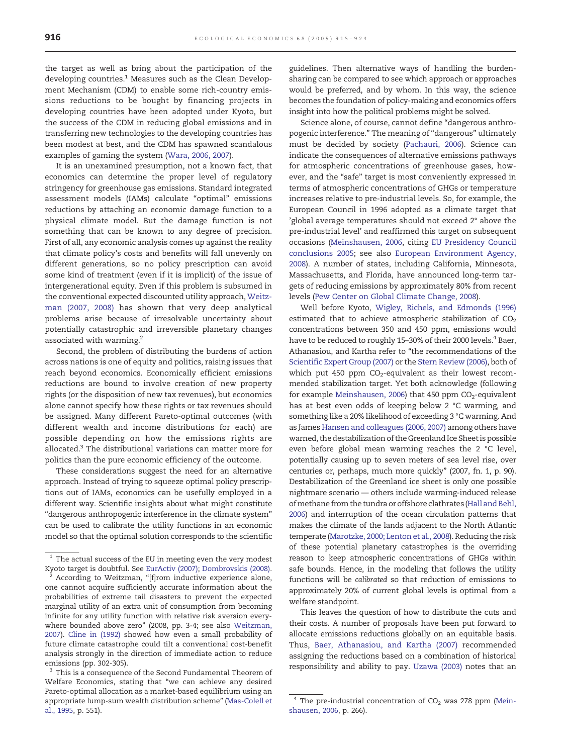the target as well as bring about the participation of the developing countries.<sup>1</sup> Measures such as the Clean Development Mechanism (CDM) to enable some rich-country emissions reductions to be bought by financing projects in developing countries have been adopted under Kyoto, but the success of the CDM in reducing global emissions and in transferring new technologies to the developing countries has been modest at best, and the CDM has spawned scandalous examples of gaming the system [\(Wara, 2006, 2007\)](#page--1-0).

It is an unexamined presumption, not a known fact, that economics can determine the proper level of regulatory stringency for greenhouse gas emissions. Standard integrated assessment models (IAMs) calculate "optimal" emissions reductions by attaching an economic damage function to a physical climate model. But the damage function is not something that can be known to any degree of precision. First of all, any economic analysis comes up against the reality that climate policy's costs and benefits will fall unevenly on different generations, so no policy prescription can avoid some kind of treatment (even if it is implicit) of the issue of intergenerational equity. Even if this problem is subsumed in the conventional expected discounted utility approach, [Weitz](#page--1-0)[man \(2007, 2008\)](#page--1-0) has shown that very deep analytical problems arise because of irresolvable uncertainty about potentially catastrophic and irreversible planetary changes associated with warming.<sup>2</sup>

Second, the problem of distributing the burdens of action across nations is one of equity and politics, raising issues that reach beyond economics. Economically efficient emissions reductions are bound to involve creation of new property rights (or the disposition of new tax revenues), but economics alone cannot specify how these rights or tax revenues should be assigned. Many different Pareto-optimal outcomes (with different wealth and income distributions for each) are possible depending on how the emissions rights are allocated.3 The distributional variations can matter more for politics than the pure economic efficiency of the outcome.

These considerations suggest the need for an alternative approach. Instead of trying to squeeze optimal policy prescriptions out of IAMs, economics can be usefully employed in a different way. Scientific insights about what might constitute "dangerous anthropogenic interference in the climate system" can be used to calibrate the utility functions in an economic model so that the optimal solution corresponds to the scientific guidelines. Then alternative ways of handling the burdensharing can be compared to see which approach or approaches would be preferred, and by whom. In this way, the science becomes the foundation of policy-making and economics offers insight into how the political problems might be solved.

Science alone, of course, cannot define "dangerous anthropogenic interference." The meaning of "dangerous" ultimately must be decided by society [\(Pachauri, 2006\)](#page--1-0). Science can indicate the consequences of alternative emissions pathways for atmospheric concentrations of greenhouse gases, however, and the "safe" target is most conveniently expressed in terms of atmospheric concentrations of GHGs or temperature increases relative to pre-industrial levels. So, for example, the European Council in 1996 adopted as a climate target that 'global average temperatures should not exceed 2° above the pre-industrial level' and reaffirmed this target on subsequent occasions [\(Meinshausen, 2006](#page--1-0), citing [EU Presidency Council](#page--1-0) [conclusions 2005](#page--1-0); see also [European Environment Agency,](#page--1-0) [2008\)](#page--1-0). A number of states, including California, Minnesota, Massachusetts, and Florida, have announced long-term targets of reducing emissions by approximately 80% from recent levels [\(Pew Center on Global Climate Change, 2008](#page--1-0)).

Well before Kyoto, [Wigley, Richels, and Edmonds \(1996\)](#page--1-0) estimated that to achieve atmospheric stabilization of  $CO<sub>2</sub>$ concentrations between 350 and 450 ppm, emissions would have to be reduced to roughly 15-30% of their 2000 levels.<sup>4</sup> Baer, Athanasiou, and Kartha refer to "the recommendations of the [Scientific Expert Group \(2007\)](#page--1-0) or the [Stern Review \(2006\),](#page--1-0) both of which put 450 ppm  $CO<sub>2</sub>$ -equivalent as their lowest recommended stabilization target. Yet both acknowledge (following for example [Meinshausen, 2006](#page--1-0)) that 450 ppm  $CO<sub>2</sub>$ -equivalent has at best even odds of keeping below 2 °C warming, and something like a 20% likelihood of exceeding 3 °C warming. And as James [Hansen and colleagues \(2006, 2007\)](#page--1-0) among others have warned, the destabilization of the Greenland Ice Sheet is possible even before global mean warming reaches the 2 °C level, potentially causing up to seven meters of sea level rise, over centuries or, perhaps, much more quickly" (2007, fn. 1, p. 90). Destabilization of the Greenland ice sheet is only one possible nightmare scenario — others include warming-induced release ofmethane from the tundra or offshore clathrates [\(Hall and Behl,](#page--1-0) [2006](#page--1-0)) and interruption of the ocean circulation patterns that makes the climate of the lands adjacent to the North Atlantic temperate [\(Marotzke, 2000; Lenton et al., 2008\)](#page--1-0). Reducing the risk of these potential planetary catastrophes is the overriding reason to keep atmospheric concentrations of GHGs within safe bounds. Hence, in the modeling that follows the utility functions will be calibrated so that reduction of emissions to approximately 20% of current global levels is optimal from a welfare standpoint.

This leaves the question of how to distribute the cuts and their costs. A number of proposals have been put forward to allocate emissions reductions globally on an equitable basis. Thus, [Baer, Athanasiou, and Kartha \(2007\)](#page--1-0) recommended assigning the reductions based on a combination of historical responsibility and ability to pay. [Uzawa \(2003\)](#page--1-0) notes that an

The actual success of the EU in meeting even the very modest Kyoto target is doubtful. See [EurActiv \(2007\)](#page--1-0); [Dombrovskis \(2008\)](#page--1-0).<br><sup>2</sup> According to Weither in "C

According to Weitzman, "[f]rom inductive experience alone, one cannot acquire sufficiently accurate information about the probabilities of extreme tail disasters to prevent the expected marginal utility of an extra unit of consumption from becoming infinite for any utility function with relative risk aversion everywhere bounded above zero" (2008, pp. 3-4; see also [Weitzman,](#page--1-0) [2007\)](#page--1-0). [Cline in \(1992\)](#page--1-0) showed how even a small probability of future climate catastrophe could tilt a conventional cost-benefit analysis strongly in the direction of immediate action to reduce emissions (pp. 302-305).

<sup>&</sup>lt;sup>3</sup> This is a consequence of the Second Fundamental Theorem of Welfare Economics, stating that "we can achieve any desired Pareto-optimal allocation as a market-based equilibrium using an appropriate lump-sum wealth distribution scheme" [\(Mas-Colell et](#page--1-0) [al., 1995,](#page--1-0) p. 551).

 $4$  The pre-industrial concentration of CO<sub>2</sub> was 278 ppm [\(Mein](#page--1-0)[shausen, 2006](#page--1-0), p. 266).